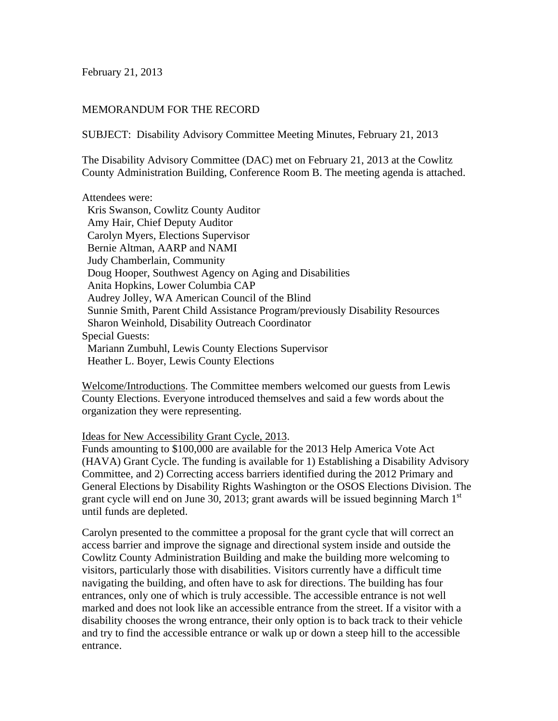February 21, 2013

# MEMORANDUM FOR THE RECORD

SUBJECT: Disability Advisory Committee Meeting Minutes, February 21, 2013

The Disability Advisory Committee (DAC) met on February 21, 2013 at the Cowlitz County Administration Building, Conference Room B. The meeting agenda is attached.

#### Attendees were:

 Kris Swanson, Cowlitz County Auditor Amy Hair, Chief Deputy Auditor Carolyn Myers, Elections Supervisor Bernie Altman, AARP and NAMI Judy Chamberlain, Community Doug Hooper, Southwest Agency on Aging and Disabilities Anita Hopkins, Lower Columbia CAP Audrey Jolley, WA American Council of the Blind Sunnie Smith, Parent Child Assistance Program/previously Disability Resources Sharon Weinhold, Disability Outreach Coordinator Special Guests: Mariann Zumbuhl, Lewis County Elections Supervisor Heather L. Boyer, Lewis County Elections

Welcome/Introductions. The Committee members welcomed our guests from Lewis County Elections. Everyone introduced themselves and said a few words about the organization they were representing.

## Ideas for New Accessibility Grant Cycle, 2013.

Funds amounting to \$100,000 are available for the 2013 Help America Vote Act (HAVA) Grant Cycle. The funding is available for 1) Establishing a Disability Advisory Committee, and 2) Correcting access barriers identified during the 2012 Primary and General Elections by Disability Rights Washington or the OSOS Elections Division. The grant cycle will end on June 30, 2013; grant awards will be issued beginning March  $1<sup>st</sup>$ until funds are depleted.

Carolyn presented to the committee a proposal for the grant cycle that will correct an access barrier and improve the signage and directional system inside and outside the Cowlitz County Administration Building and make the building more welcoming to visitors, particularly those with disabilities. Visitors currently have a difficult time navigating the building, and often have to ask for directions. The building has four entrances, only one of which is truly accessible. The accessible entrance is not well marked and does not look like an accessible entrance from the street. If a visitor with a disability chooses the wrong entrance, their only option is to back track to their vehicle and try to find the accessible entrance or walk up or down a steep hill to the accessible entrance.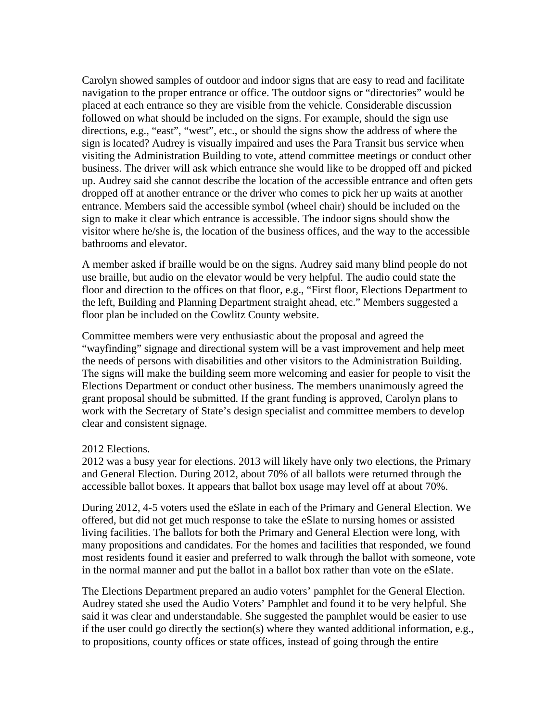Carolyn showed samples of outdoor and indoor signs that are easy to read and facilitate navigation to the proper entrance or office. The outdoor signs or "directories" would be placed at each entrance so they are visible from the vehicle. Considerable discussion followed on what should be included on the signs. For example, should the sign use directions, e.g., "east", "west", etc., or should the signs show the address of where the sign is located? Audrey is visually impaired and uses the Para Transit bus service when visiting the Administration Building to vote, attend committee meetings or conduct other business. The driver will ask which entrance she would like to be dropped off and picked up. Audrey said she cannot describe the location of the accessible entrance and often gets dropped off at another entrance or the driver who comes to pick her up waits at another entrance. Members said the accessible symbol (wheel chair) should be included on the sign to make it clear which entrance is accessible. The indoor signs should show the visitor where he/she is, the location of the business offices, and the way to the accessible bathrooms and elevator.

A member asked if braille would be on the signs. Audrey said many blind people do not use braille, but audio on the elevator would be very helpful. The audio could state the floor and direction to the offices on that floor, e.g., "First floor, Elections Department to the left, Building and Planning Department straight ahead, etc." Members suggested a floor plan be included on the Cowlitz County website.

Committee members were very enthusiastic about the proposal and agreed the "wayfinding" signage and directional system will be a vast improvement and help meet the needs of persons with disabilities and other visitors to the Administration Building. The signs will make the building seem more welcoming and easier for people to visit the Elections Department or conduct other business. The members unanimously agreed the grant proposal should be submitted. If the grant funding is approved, Carolyn plans to work with the Secretary of State's design specialist and committee members to develop clear and consistent signage.

## 2012 Elections.

2012 was a busy year for elections. 2013 will likely have only two elections, the Primary and General Election. During 2012, about 70% of all ballots were returned through the accessible ballot boxes. It appears that ballot box usage may level off at about 70%.

During 2012, 4-5 voters used the eSlate in each of the Primary and General Election. We offered, but did not get much response to take the eSlate to nursing homes or assisted living facilities. The ballots for both the Primary and General Election were long, with many propositions and candidates. For the homes and facilities that responded, we found most residents found it easier and preferred to walk through the ballot with someone, vote in the normal manner and put the ballot in a ballot box rather than vote on the eSlate.

The Elections Department prepared an audio voters' pamphlet for the General Election. Audrey stated she used the Audio Voters' Pamphlet and found it to be very helpful. She said it was clear and understandable. She suggested the pamphlet would be easier to use if the user could go directly the section(s) where they wanted additional information, e.g., to propositions, county offices or state offices, instead of going through the entire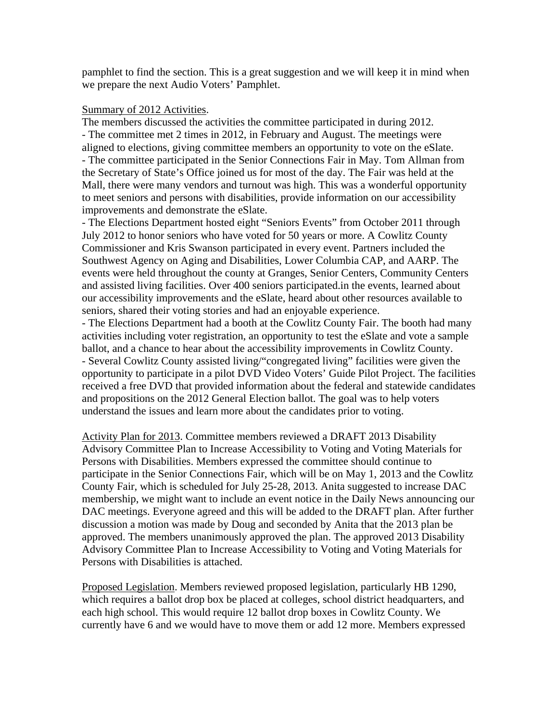pamphlet to find the section. This is a great suggestion and we will keep it in mind when we prepare the next Audio Voters' Pamphlet.

#### Summary of 2012 Activities.

The members discussed the activities the committee participated in during 2012. - The committee met 2 times in 2012, in February and August. The meetings were aligned to elections, giving committee members an opportunity to vote on the eSlate. - The committee participated in the Senior Connections Fair in May. Tom Allman from the Secretary of State's Office joined us for most of the day. The Fair was held at the Mall, there were many vendors and turnout was high. This was a wonderful opportunity to meet seniors and persons with disabilities, provide information on our accessibility improvements and demonstrate the eSlate.

- The Elections Department hosted eight "Seniors Events" from October 2011 through July 2012 to honor seniors who have voted for 50 years or more. A Cowlitz County Commissioner and Kris Swanson participated in every event. Partners included the Southwest Agency on Aging and Disabilities, Lower Columbia CAP, and AARP. The events were held throughout the county at Granges, Senior Centers, Community Centers and assisted living facilities. Over 400 seniors participated.in the events, learned about our accessibility improvements and the eSlate, heard about other resources available to seniors, shared their voting stories and had an enjoyable experience.

- The Elections Department had a booth at the Cowlitz County Fair. The booth had many activities including voter registration, an opportunity to test the eSlate and vote a sample ballot, and a chance to hear about the accessibility improvements in Cowlitz County. - Several Cowlitz County assisted living/"congregated living" facilities were given the opportunity to participate in a pilot DVD Video Voters' Guide Pilot Project. The facilities received a free DVD that provided information about the federal and statewide candidates and propositions on the 2012 General Election ballot. The goal was to help voters understand the issues and learn more about the candidates prior to voting.

Activity Plan for 2013. Committee members reviewed a DRAFT 2013 Disability Advisory Committee Plan to Increase Accessibility to Voting and Voting Materials for Persons with Disabilities. Members expressed the committee should continue to participate in the Senior Connections Fair, which will be on May 1, 2013 and the Cowlitz County Fair, which is scheduled for July 25-28, 2013. Anita suggested to increase DAC membership, we might want to include an event notice in the Daily News announcing our DAC meetings. Everyone agreed and this will be added to the DRAFT plan. After further discussion a motion was made by Doug and seconded by Anita that the 2013 plan be approved. The members unanimously approved the plan. The approved 2013 Disability Advisory Committee Plan to Increase Accessibility to Voting and Voting Materials for Persons with Disabilities is attached.

Proposed Legislation. Members reviewed proposed legislation, particularly HB 1290, which requires a ballot drop box be placed at colleges, school district headquarters, and each high school. This would require 12 ballot drop boxes in Cowlitz County. We currently have 6 and we would have to move them or add 12 more. Members expressed